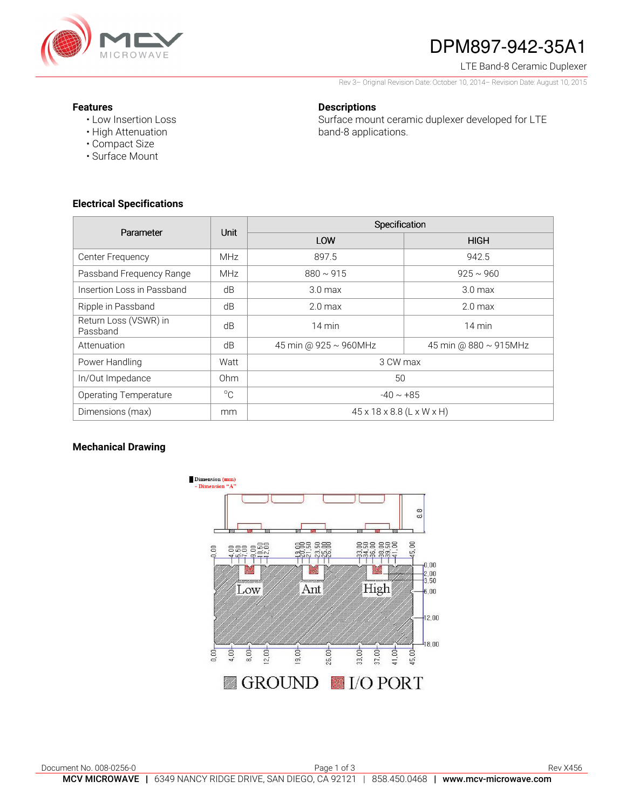

# DPM897-942-35A1

LTE Band-8 Ceramic Duplexer

Rev 3– Original Revision Date: October 10, 2014– Revision Date: August 10, 2015

#### **Features**

• Low Insertion Loss

## **Descriptions**

Surface mount ceramic duplexer developed for LTE band-8 applications.

- High Attenuation • Compact Size
- Surface Mount

## **Electrical Specifications**

| Parameter                         | Unit        | Specification                         |                       |
|-----------------------------------|-------------|---------------------------------------|-----------------------|
|                                   |             | LOW                                   | <b>HIGH</b>           |
| Center Frequency                  | <b>MHz</b>  | 897.5                                 | 942.5                 |
| Passband Frequency Range          | <b>MHz</b>  | $880 \sim 915$                        | $925 \sim 960$        |
| Insertion Loss in Passband        | dB          | 3.0 <sub>max</sub>                    | 3.0 <sub>max</sub>    |
| Ripple in Passband                | dB          | 2.0 <sub>max</sub>                    | 2.0 <sub>max</sub>    |
| Return Loss (VSWR) in<br>Passband | dB          | 14 min                                | $14 \text{ min}$      |
| Attenuation                       | dB          | 45 min @ 925 ~ 960MHz                 | 45 min @ 880 ~ 915MHz |
| Power Handling                    | Watt        | 3 CW max                              |                       |
| In/Out Impedance                  | Ohm         | 50                                    |                       |
| <b>Operating Temperature</b>      | $^{\circ}C$ | $-40 \sim +85$                        |                       |
| Dimensions (max)                  | mm          | $45 \times 18 \times 8.8$ (L x W x H) |                       |

## **Mechanical Drawing**

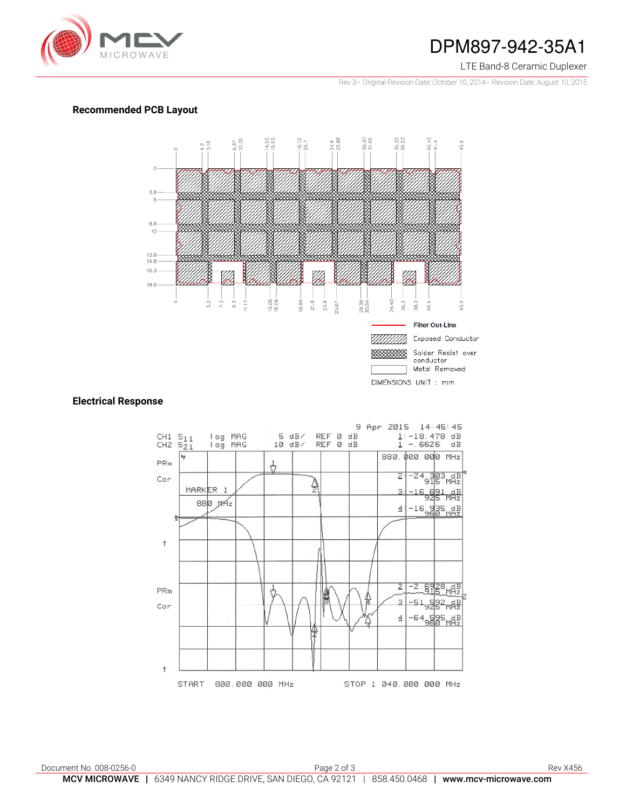

## DPM897-942-35A1

#### LTE Band-8 Ceramic Duplexer

Rev 3– Original Revision Date: October 10, 2014– Revision Date: August 10, 2015

## **Recommended PCB Layout**



## **Electrical Response**